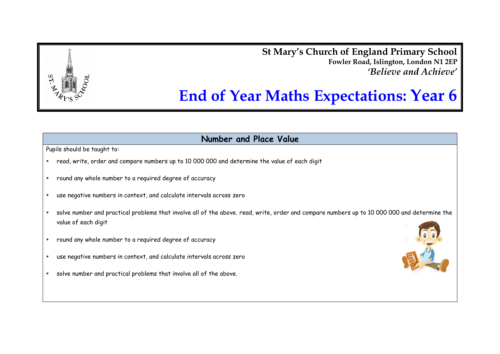**St Mary's Church of England Primary School Fowler Road, Islington, London N1 2EP** *'Believe and Achieve'*

# **End of Year Maths Expectations: Year 6**

**Number and Place Value**

- read, write, order and compare numbers up to 10 000 000 and determine the value of each digit
- round any whole number to a required degree of accuracy
- use negative numbers in context, and calculate intervals across zero
- solve number and practical problems that involve all of the above. read, write, order and compare numbers up to 10 000 000 and determine the value of each digit
- round any whole number to a required degree of accuracy
- use negative numbers in context, and calculate intervals across zero
- solve number and practical problems that involve all of the above.

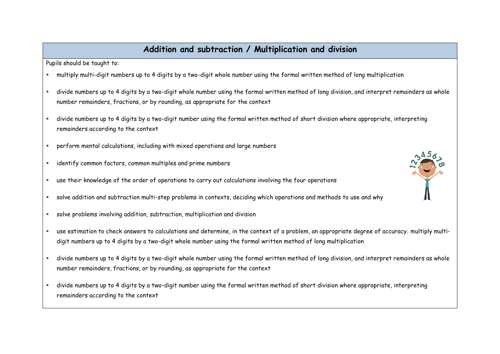### **Addition and subtraction / Multiplication and division**

- multiply multi-digit numbers up to 4 digits by a two-digit whole number using the formal written method of long multiplication
- divide numbers up to 4 digits by a two-digit whole number using the formal written method of long division, and interpret remainders as whole number remainders, fractions, or by rounding, as appropriate for the context
- divide numbers up to 4 digits by a two-digit number using the formal written method of short division where appropriate, interpreting remainders according to the context
- perform mental calculations, including with mixed operations and large numbers
- identify common factors, common multiples and prime numbers
- use their knowledge of the order of operations to carry out calculations involving the four operations
- solve addition and subtraction multi-step problems in contexts, deciding which operations and methods to use and why
- solve problems involving addition, subtraction, multiplication and division
- use estimation to check answers to calculations and determine, in the context of a problem, an appropriate degree of accuracy. multiply multidigit numbers up to 4 digits by a two-digit whole number using the formal written method of long multiplication
- divide numbers up to 4 digits by a two-digit whole number using the formal written method of long division, and interpret remainders as whole number remainders, fractions, or by rounding, as appropriate for the context
- divide numbers up to 4 digits by a two-digit number using the formal written method of short division where appropriate, interpreting remainders according to the context

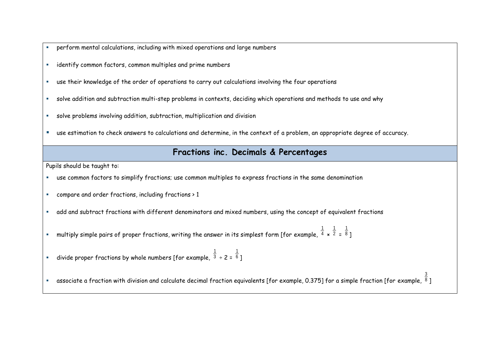- perform mental calculations, including with mixed operations and large numbers
- identify common factors, common multiples and prime numbers
- use their knowledge of the order of operations to carry out calculations involving the four operations
- solve addition and subtraction multi-step problems in contexts, deciding which operations and methods to use and why
- solve problems involving addition, subtraction, multiplication and division
- use estimation to check answers to calculations and determine, in the context of a problem, an appropriate degree of accuracy.

#### **Fractions inc. Decimals & Percentages**

Pupils should be taught to:

- use common factors to simplify fractions; use common multiples to express fractions in the same denomination
- compare and order fractions, including fractions > 1
- add and subtract fractions with different denominators and mixed numbers, using the concept of equivalent fractions
- $\hspace{0.1mm}$  multiply simple pairs of proper fractions, writing the answer in its simplest form [for example,  $^4$ 1 × 2 1 = 8 1 ]
- $\blacksquare$  divide proper fractions by whole numbers [for example,  $^3$ 1 ÷ 2 = 6 1 ]

 $\,$  associate a fraction with division and calculate decimal fraction equivalents [for example, 0.375] for a simple fraction [for example,  $^8$ ]

3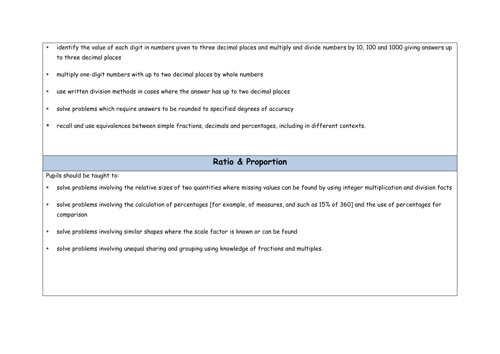- identify the value of each digit in numbers given to three decimal places and multiply and divide numbers by 10, 100 and 1000 giving answers up to three decimal places
- multiply one-digit numbers with up to two decimal places by whole numbers
- use written division methods in cases where the answer has up to two decimal places
- solve problems which require answers to be rounded to specified degrees of accuracy
- recall and use equivalences between simple fractions, decimals and percentages, including in different contexts.

# **Ratio & Proportion**

- solve problems involving the relative sizes of two quantities where missing values can be found by using integer multiplication and division facts
- solve problems involving the calculation of percentages [for example, of measures, and such as 15% of 360] and the use of percentages for comparison
- solve problems involving similar shapes where the scale factor is known or can be found
- solve problems involving unequal sharing and grouping using knowledge of fractions and multiples.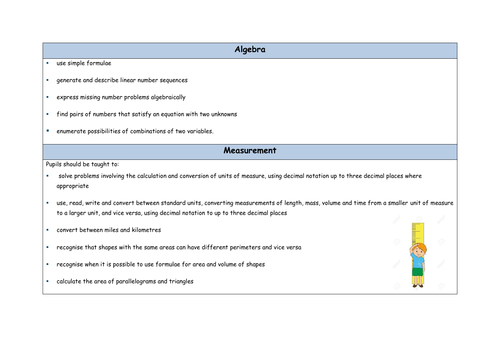# **Algebra**

- use simple formulae
- generate and describe linear number sequences
- express missing number problems algebraically
- find pairs of numbers that satisfy an equation with two unknowns
- enumerate possibilities of combinations of two variables.

#### **Measurement**

- solve problems involving the calculation and conversion of units of measure, using decimal notation up to three decimal places where appropriate
- use, read, write and convert between standard units, converting measurements of length, mass, volume and time from a smaller unit of measure to a larger unit, and vice versa, using decimal notation to up to three decimal places
- convert between miles and kilometres
- recognise that shapes with the same areas can have different perimeters and vice versa
- recognise when it is possible to use formulae for area and volume of shapes
- calculate the area of parallelograms and triangles

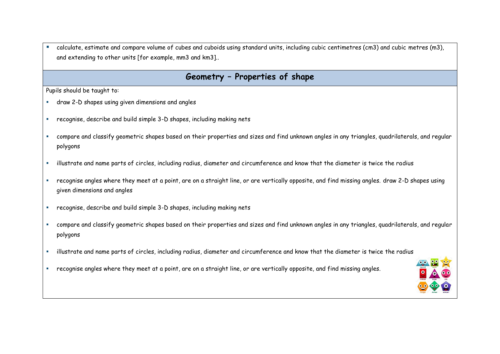calculate, estimate and compare volume of cubes and cuboids using standard units, including cubic centimetres (cm3) and cubic metres (m3), and extending to other units [for example, mm3 and km3]..

#### **Geometry – Properties of shape**

- draw 2-D shapes using given dimensions and angles
- recognise, describe and build simple 3-D shapes, including making nets
- compare and classify geometric shapes based on their properties and sizes and find unknown angles in any triangles, quadrilaterals, and regular polygons
- illustrate and name parts of circles, including radius, diameter and circumference and know that the diameter is twice the radius
- recognise angles where they meet at a point, are on a straight line, or are vertically opposite, and find missing angles. draw 2-D shapes using given dimensions and angles
- recognise, describe and build simple 3-D shapes, including making nets
- compare and classify geometric shapes based on their properties and sizes and find unknown angles in any triangles, quadrilaterals, and regular polygons
- illustrate and name parts of circles, including radius, diameter and circumference and know that the diameter is twice the radius
- recognise angles where they meet at a point, are on a straight line, or are vertically opposite, and find missing angles.